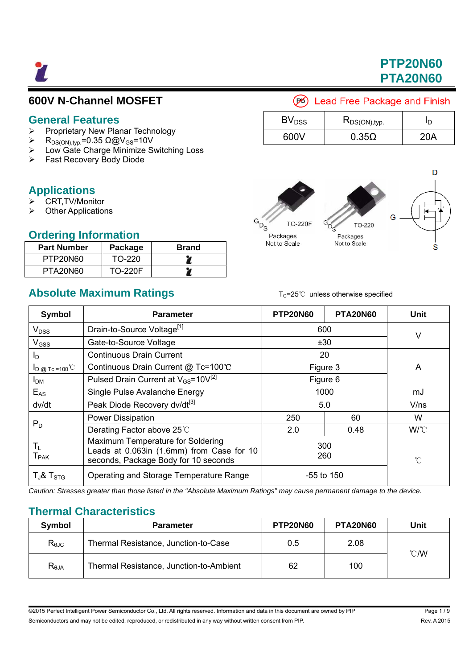7

# **PTP20N60 PTA20N60**

## **600V N-Channel MOSFET**

#### **General Features**

- $\triangleright$  Proprietary New Planar Technology
- $\triangleright$  R<sub>DS(ON),typ</sub>=0.35 Ω@V<sub>GS</sub>=10V
- Low Gate Charge Minimize Switching Loss
- ▶ Fast Recovery Body Diode

## **Applications**

- CRT,TV/Monitor
- Other Applications

### **Ordering Information**

| <b>Part Number</b> | Package        | <b>Brand</b> |
|--------------------|----------------|--------------|
| PTP20N60           | TO-220         |              |
| PTA20N60           | <b>TO-220F</b> |              |

# **Absolute Maximum Ratings** T<sub>C</sub>=25℃ unless otherwise specified

## (B) Lead Free Package and Finish

| BV <sub>DSS</sub> | $R_{DS(ON),typ.}$ |     |
|-------------------|-------------------|-----|
| 600V              | $0.35\Omega$      | 20A |



| <b>Symbol</b>                 | <b>Parameter</b>                                                                                                       | <b>PTP20N60</b> | <b>PTA20N60</b> | <b>Unit</b> |
|-------------------------------|------------------------------------------------------------------------------------------------------------------------|-----------------|-----------------|-------------|
| $V_{DSS}$                     | Drain-to-Source Voltage <sup>[1]</sup>                                                                                 | 600             |                 | V           |
| $V$ <sub>GSS</sub>            | Gate-to-Source Voltage                                                                                                 | ±30             |                 |             |
| ΙD                            | <b>Continuous Drain Current</b>                                                                                        | 20              |                 |             |
| $I_D$ @ Tc =100 <sup>°C</sup> | Continuous Drain Current @ Tc=100℃                                                                                     | Figure 3        |                 | A           |
| <b>I</b> <sub>DM</sub>        | Pulsed Drain Current at $V_{GS}$ =10 $V^{[2]}$                                                                         | Figure 6        |                 |             |
| $E_{AS}$                      | Single Pulse Avalanche Energy                                                                                          | 1000            |                 | mJ          |
| dv/dt                         | Peak Diode Recovery dv/dt <sup>[3]</sup>                                                                               | 5.0             |                 | V/ns        |
|                               | Power Dissipation                                                                                                      | 250             | 60              | W           |
| $P_D$                         | Derating Factor above 25°C                                                                                             | 2.0             | 0.48            | W/C         |
| $T_{L}$<br>$T_{\sf PAK}$      | Maximum Temperature for Soldering<br>Leads at 0.063in (1.6mm) from Case for 10<br>seconds, Package Body for 10 seconds | 300<br>260      |                 | °C          |
| $T_J$ & $T_{STG}$             | Operating and Storage Temperature Range                                                                                | $-55$ to 150    |                 |             |

*Caution: Stresses greater than those listed in the "Absolute Maximum Ratings" may cause permanent damage to the device.* 

## **Thermal Characteristics**

| Symbol                                  | <b>Parameter</b>                        | <b>PTP20N60</b> | <b>PTA20N60</b> | Unit           |
|-----------------------------------------|-----------------------------------------|-----------------|-----------------|----------------|
| $R_{\theta$ JC                          | Thermal Resistance, Junction-to-Case    | 0.5             | 2.08            |                |
| $\mathsf{R}_{\textsf{\scriptsize 6JA}}$ | Thermal Resistance, Junction-to-Ambient | 62              | 100             | $^{\circ}$ C/W |

@2015 Perfect Intelligent Power Semiconductor Co., Ltd. All rights reserved. Information and data in this document are owned by PIP Page 1/9 Semiconductors and may not be edited, reproduced, or redistributed in any way without written consent from PIP. Rev. A 2015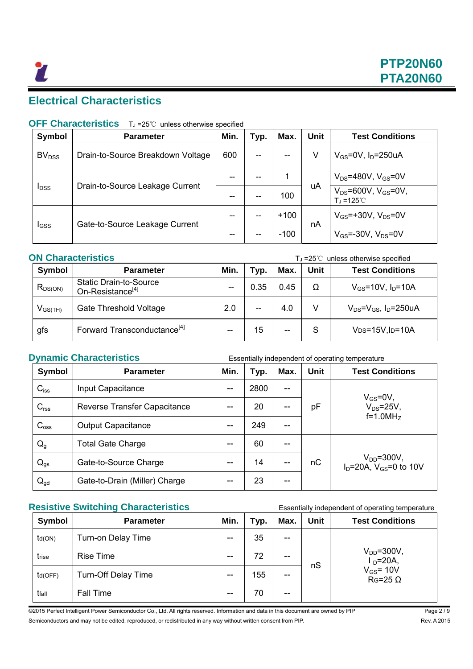## **Electrical Characteristics**

### **OFF Characteristics** T<sub>J</sub> =25℃ unless otherwise specified

| Symbol                                                     | <b>Parameter</b>                  | Min. | Typ. | Max.   | <b>Unit</b>                                               | <b>Test Conditions</b>       |
|------------------------------------------------------------|-----------------------------------|------|------|--------|-----------------------------------------------------------|------------------------------|
| BV <sub>DSS</sub>                                          | Drain-to-Source Breakdown Voltage | 600  | --   | $- -$  | V                                                         | $V_{GS}$ =0V, $I_D$ =250uA   |
| Drain-to-Source Leakage Current<br><b>I</b> <sub>DSS</sub> |                                   | --   |      |        |                                                           | $V_{DS}$ =480V, $V_{GS}$ =0V |
|                                                            |                                   |      | 100  | uA     | $V_{DS} = 600V$ , $V_{GS} = 0V$ ,<br>$T_1 = 125^{\circ}C$ |                              |
| I <sub>GSS</sub>                                           | Gate-to-Source Leakage Current    | --   |      | $+100$ |                                                           | $V_{GS}$ =+30V, $V_{DS}$ =0V |
|                                                            |                                   |      |      | $-100$ | nA                                                        | $V_{GS}$ =-30V, $V_{DS}$ =0V |

#### **ON Characteristics T**<sub>⊥</sub>=25℃ unless otherwise specified

| <b>Symbol</b> | <b>Parameter</b>                                              | Min.  | Typ.                                              | Max.  | Unit | <b>Test Conditions</b>            |
|---------------|---------------------------------------------------------------|-------|---------------------------------------------------|-------|------|-----------------------------------|
| $R_{DS(ON)}$  | <b>Static Drain-to-Source</b><br>On-Resistance <sup>[4]</sup> |       | 0.35                                              | 0.45  | Ω    | $V_{GS}$ =10V, $I_{D}$ =10A       |
| $V_{GS(TH)}$  | Gate Threshold Voltage                                        | 2.0   | $\hspace{0.05cm}-\hspace{0.05cm}-\hspace{0.05cm}$ | 4.0   | V    | $V_{DS} = V_{GS}$ , $I_D = 250uA$ |
| gfs           | Forward Transconductance <sup>[4]</sup>                       | $- -$ | 15                                                | $- -$ | S    | $V_{DS}=15V$ , $I_{D}=10A$        |

**Dynamic Characteristics** Essentially independent of operating temperature **Symbol Parameter Min. Typ. Max. Unit Test Conditions**  $C_{iss}$  | Input Capacitance  $\vert$  -- 2800 | -- $C_{\text{rss}}$  Reverse Transfer Capacitance  $\vert$  -- 20 -- $C_{\text{oss}}$  | Output Capacitance  $\vert$  -- | 249 | -pF  $V_{GS} = 0V$ ,  $V_{DS}$ =25V,  $f=1.0$ MH<sub>z</sub>  $Q_q$  | Total Gate Charge  $\begin{array}{|c|c|c|c|c|}\n\hline\n-\end{array}$  | -- | 60 | -- $Q_{gs}$  Gate-to-Source Charge  $\vert$  --  $\vert$  14  $\vert$  -- $Q_{\text{qd}}$  | Gate-to-Drain (Miller) Charge | -- | 23 | - $nC$   $V_{DD} = 300V$ ,  $I<sub>D</sub>=20A$ ,  $V<sub>GS</sub>=0$  to 10V

#### **Resistive Switching Characteristics** Essentially independent of operating temperature

| <b>Symbol</b> | <b>Parameter</b>           | Min.  | Typ. | Max.  | <b>Unit</b> | <b>Test Conditions</b>                                                     |
|---------------|----------------------------|-------|------|-------|-------------|----------------------------------------------------------------------------|
| td(ON)        | Turn-on Delay Time         |       | 35   | --    | nS          | $V_{DD} = 300V$ ,<br>$I_D=20A$ ,<br>$V_{GS}$ = 10 $V$<br>$R$ G=25 $\Omega$ |
| trise         | <b>Rise Time</b>           | --    | 72   | --    |             |                                                                            |
| td(OFF)       | <b>Turn-Off Delay Time</b> | --    | 155  | $- -$ |             |                                                                            |
| tfall         | <b>Fall Time</b>           | $- -$ | 70   | --    |             |                                                                            |

@2015 Perfect Intelligent Power Semiconductor Co., Ltd. All rights reserved. Information and data in this document are owned by PIP Page 2/9 Semiconductors and may not be edited, reproduced, or redistributed in any way without written consent from PIP. Rev. A 2015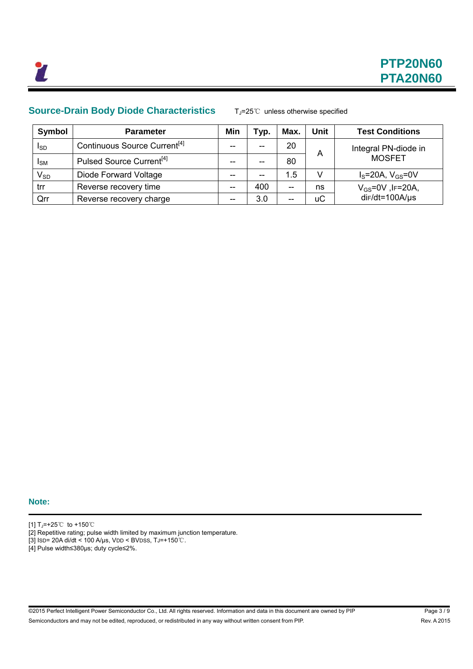### **Source-Drain Body Diode Characteristics** TJ=25℃ unless otherwise specified

| Symbol                 | <b>Parameter</b>                         | Min   | Typ.  | Max. | <b>Unit</b> | <b>Test Conditions</b> |
|------------------------|------------------------------------------|-------|-------|------|-------------|------------------------|
| I <sub>SD</sub>        | Continuous Source Current <sup>[4]</sup> | $- -$ | --    | 20   |             | Integral PN-diode in   |
| <b>I</b> <sub>SM</sub> | Pulsed Source Current <sup>[4]</sup>     | $- -$ | --    | 80   | Α           | <b>MOSFET</b>          |
| $V_{SD}$               | Diode Forward Voltage                    | --    | $- -$ | 1.5  |             | $IS=20A, VGS=0V$       |
| trr                    | Reverse recovery time                    | $- -$ | 400   | --   | ns          | $V_{GS}$ =0V, IF=20A,  |
| Qrr                    | Reverse recovery charge                  | $- -$ | 3.0   | --   | <b>uC</b>   | $dir/dt = 100A/µs$     |

**Note:** 

[1] TJ=+25℃ to +150℃

[2] Repetitive rating; pulse width limited by maximum junction temperature.

[3] ISD= 20A di/dt < 100 A/μs, VDD < BVDSS, TJ=+150℃.

[4] Pulse width≤380µs; duty cycle≤2%.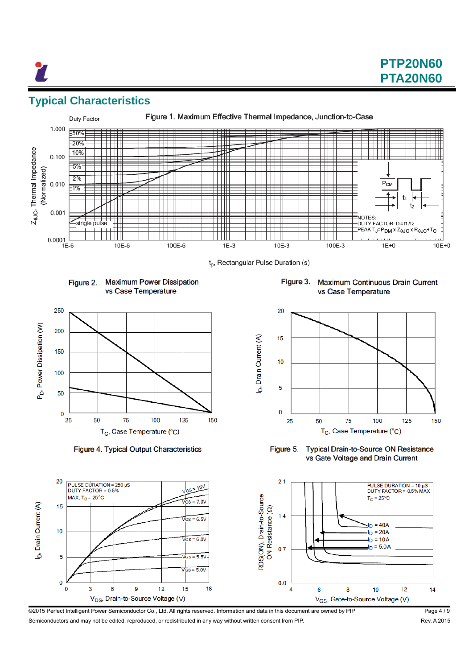# **Typical Characteristics**



t<sub>p</sub>, Rectangular Pulse Duration (s)





Figure 4. Typical Output Characteristics

20

15

 $10$ 

5

 $\mathbf 0$ 

 $\mathbf 0$ 

b, Drain Current (A)

PULSE DURATION =  $250 \text{ }\mu\text{S}$ 

DUTY FACTOR = 0.5%

3

6

MAX,  $T_C = 25^{\circ}C$ 

Figure 3. Maximum Continuous Drain Current vs Case Temperature



Typical Drain-to-Source ON Resistance Figure 5. vs Gate Voltage and Drain Current



©2015 Perfect Intelligent Power Semiconductor Co., Ltd. All rights reserved. Information and data in this document are owned by PIP Page 4 / 9 Semiconductors and may not be edited, reproduced, or redistributed in any way without written consent from PIP. Rev. A 2015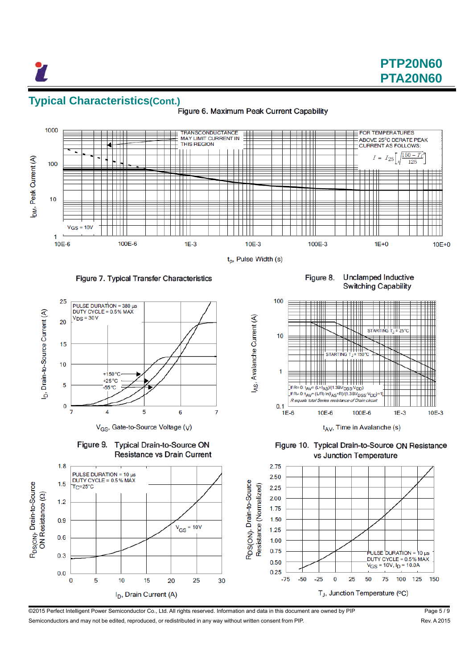#### **Typical Characteristics(Cont.)** Figure 6. Maximum Peak Current Capability



A<sub>S</sub>, Avalanche Current (A)

#### Figure 7. Typical Transfer Characteristics



V<sub>GS</sub>, Gate-to-Source Voltage (V)

**Switching Capability** 

**Unclamped Inductive** 

Figure 8.





©2015 Perfect Intelligent Power Semiconductor Co., Ltd. All rights reserved. Information and data in this document are owned by PIP Page 5 / 9 Semiconductors and may not be edited, reproduced, or redistributed in any way without written consent from PIP. Rev. A 2015

150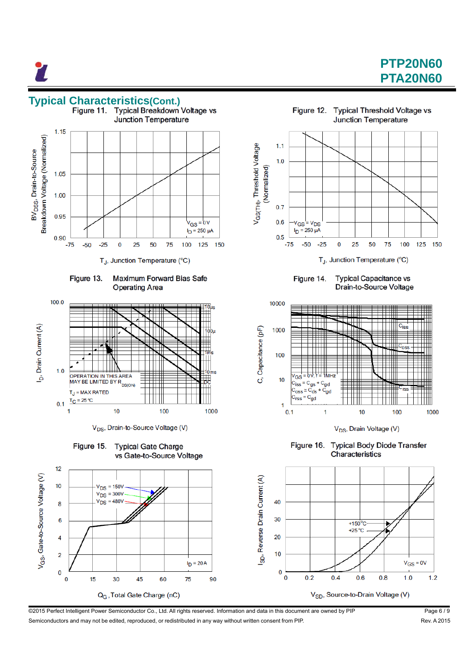# **PTP20N60 PTA20N60**





V<sub>DS</sub>, Drain-to-Source Voltage (V)







Figure 14. **Typical Capacitance vs** Drain-to-Source Voltage



V<sub>DS</sub>, Drain Voltage (V)

**Typical Body Diode Transfer** Figure 16. Characteristics



©2015 Perfect Intelligent Power Semiconductor Co., Ltd. All rights reserved. Information and data in this document are owned by PIP Page 6 / 9 Semiconductors and may not be edited, reproduced, or redistributed in any way without written consent from PIP. Rev. A 2015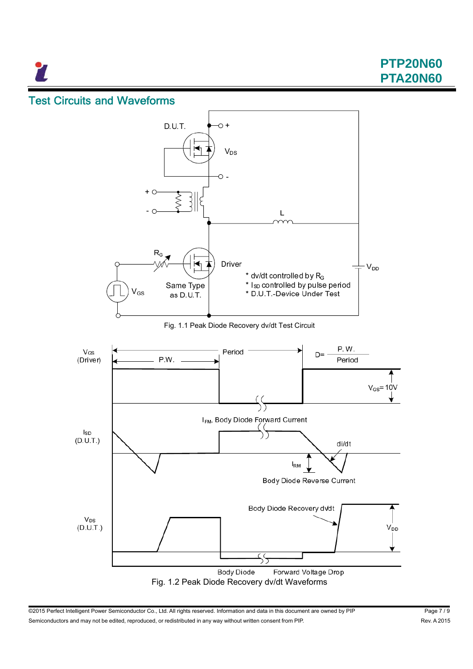7

**PTP20N60 PTA20N60**

## Test Circuits and Waveforms



@2015 Perfect Intelligent Power Semiconductor Co., Ltd. All rights reserved. Information and data in this document are owned by PIP Page 7/9 Semiconductors and may not be edited, reproduced, or redistributed in any way without written consent from PIP. Rev. A 2015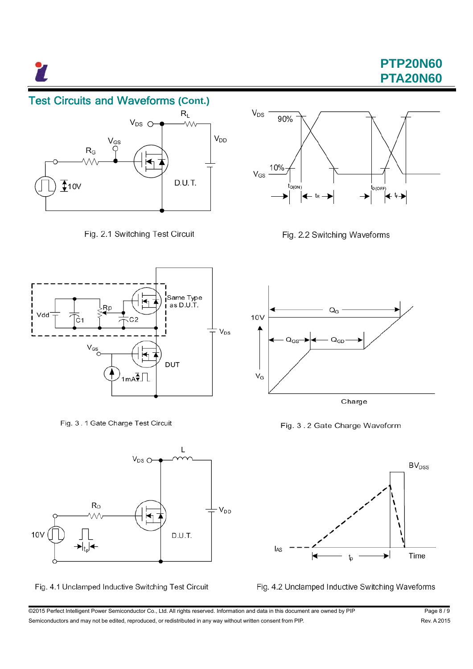27

# **PTP20N60 PTA20N60**

## Test Circuits and Waveforms **(Cont.)**



Fig. 2.1 Switching Test Circuit



Fig. 3.1 Gate Charge Test Circuit



Fig. 4.1 Unclamped Inductive Switching Test Circuit



Fig. 2.2 Switching Waveforms



Fig. 3.2 Gate Charge Waveform





©2015 Perfect Intelligent Power Semiconductor Co., Ltd. All rights reserved. Information and data in this document are owned by PIP Page 8 / 9 Semiconductors and may not be edited, reproduced, or redistributed in any way without written consent from PIP. Rev. A 2015